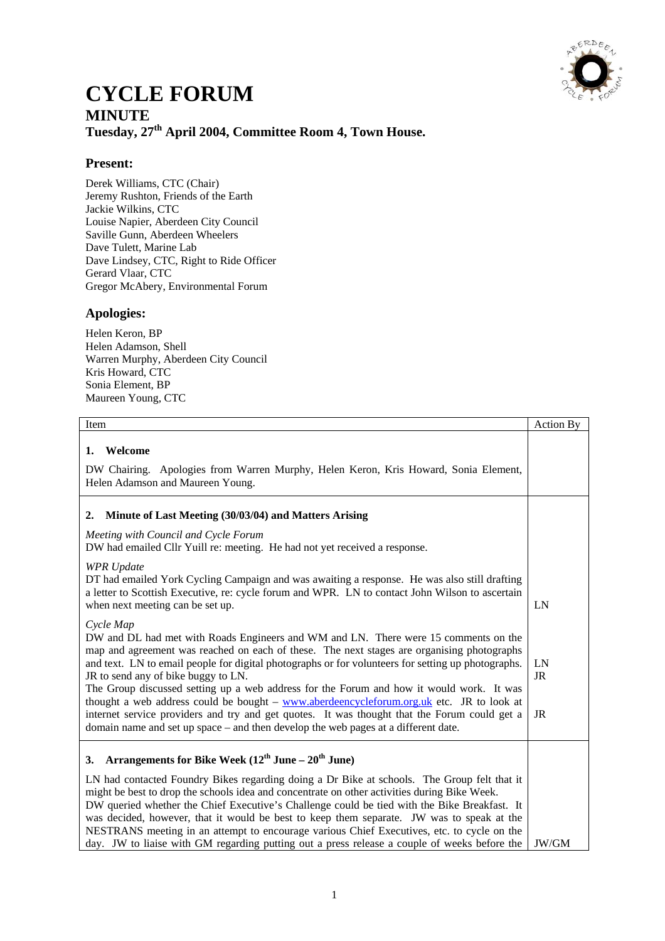

## **CYCLE FORUM MINUTE Tuesday, 27th April 2004, Committee Room 4, Town House.**

## **Present:**

Derek Williams, CTC (Chair) Jeremy Rushton, Friends of the Earth Jackie Wilkins, CTC Louise Napier, Aberdeen City Council Saville Gunn, Aberdeen Wheelers Dave Tulett, Marine Lab Dave Lindsey, CTC, Right to Ride Officer Gerard Vlaar, CTC Gregor McAbery, Environmental Forum

## **Apologies:**

Helen Keron, BP Helen Adamson, Shell Warren Murphy, Aberdeen City Council Kris Howard, CTC Sonia Element, BP Maureen Young, CTC

| Item                                                                                                                                                                                                                                                                                                                                                                                                                                                                                                                                                                                                                                                                                                                                     | Action By      |
|------------------------------------------------------------------------------------------------------------------------------------------------------------------------------------------------------------------------------------------------------------------------------------------------------------------------------------------------------------------------------------------------------------------------------------------------------------------------------------------------------------------------------------------------------------------------------------------------------------------------------------------------------------------------------------------------------------------------------------------|----------------|
| Welcome<br>1.<br>DW Chairing. Apologies from Warren Murphy, Helen Keron, Kris Howard, Sonia Element,<br>Helen Adamson and Maureen Young.                                                                                                                                                                                                                                                                                                                                                                                                                                                                                                                                                                                                 |                |
|                                                                                                                                                                                                                                                                                                                                                                                                                                                                                                                                                                                                                                                                                                                                          |                |
| Minute of Last Meeting (30/03/04) and Matters Arising<br>2.                                                                                                                                                                                                                                                                                                                                                                                                                                                                                                                                                                                                                                                                              |                |
| Meeting with Council and Cycle Forum<br>DW had emailed Cllr Yuill re: meeting. He had not yet received a response.                                                                                                                                                                                                                                                                                                                                                                                                                                                                                                                                                                                                                       |                |
| <b>WPR</b> Update<br>DT had emailed York Cycling Campaign and was awaiting a response. He was also still drafting<br>a letter to Scottish Executive, re: cycle forum and WPR. LN to contact John Wilson to ascertain<br>when next meeting can be set up.                                                                                                                                                                                                                                                                                                                                                                                                                                                                                 | LN             |
| Cycle Map<br>DW and DL had met with Roads Engineers and WM and LN. There were 15 comments on the<br>map and agreement was reached on each of these. The next stages are organising photographs<br>and text. LN to email people for digital photographs or for volunteers for setting up photographs.<br>JR to send any of bike buggy to LN.<br>The Group discussed setting up a web address for the Forum and how it would work. It was<br>thought a web address could be bought $-\underline{www.aberdeen cycle forum.org.uk}$ etc. JR to look at<br>internet service providers and try and get quotes. It was thought that the Forum could get a<br>domain name and set up space – and then develop the web pages at a different date. | LN<br>JR<br>JR |
| Arrangements for Bike Week $(12^{th}$ June – $20^{th}$ June)<br>3.<br>LN had contacted Foundry Bikes regarding doing a Dr Bike at schools. The Group felt that it<br>might be best to drop the schools idea and concentrate on other activities during Bike Week.<br>DW queried whether the Chief Executive's Challenge could be tied with the Bike Breakfast. It<br>was decided, however, that it would be best to keep them separate. JW was to speak at the<br>NESTRANS meeting in an attempt to encourage various Chief Executives, etc. to cycle on the<br>day. JW to liaise with GM regarding putting out a press release a couple of weeks before the                                                                             | JW/GM          |